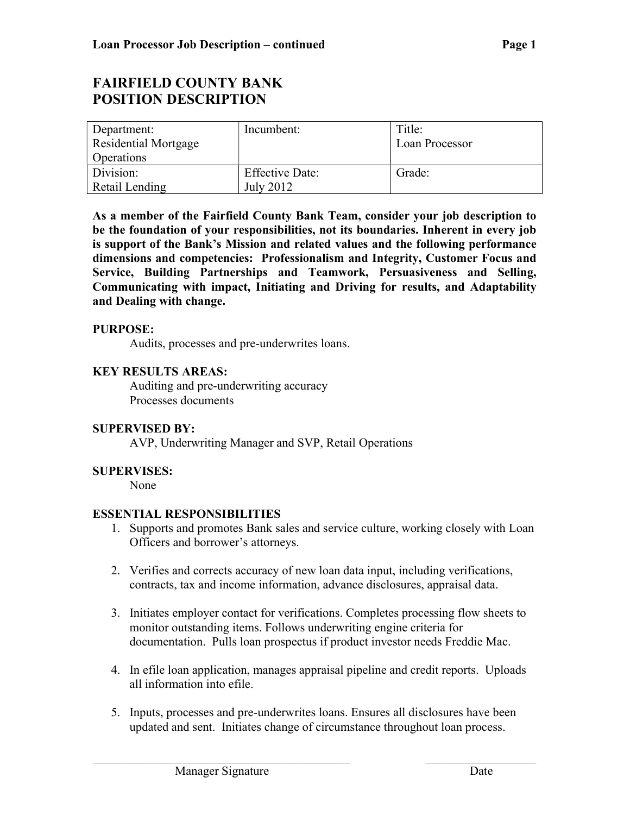# FAIRFIELD COUNTY BANK POSITION DESCRIPTION

| Department:<br>Residential Mortgage<br><b>Operations</b> | Incumbent:                          | Title:<br>Loan Processor |
|----------------------------------------------------------|-------------------------------------|--------------------------|
| Division:<br>Retail Lending                              | <b>Effective Date:</b><br>July 2012 | Grade:                   |

As a member of the Fairfield County Bank Team, consider your job description to be the foundation of your responsibilities, not its boundaries. Inherent in every job is support of the Bank's Mission and related values and the following performance dimensions and competencies: Professionalism and Integrity, Customer Focus and Service, Building Partnerships and Teamwork, Persuasiveness and Selling, Communicating with impact, Initiating and Driving for results, and Adaptability and Dealing with change.

### PURPOSE:

Audits, processes and pre-underwrites loans.

# KEY RESULTS AREAS:

Auditing and pre-underwriting accuracy Processes documents

#### SUPERVISED BY:

AVP, Underwriting Manager and SVP, Retail Operations

# SUPERVISES:

None

# ESSENTIAL RESPONSIBILITIES

- 1. Supports and promotes Bank sales and service culture, working closely with Loan Officers and borrower's attorneys.
- 2. Verifies and corrects accuracy of new loan data input, including verifications, contracts, tax and income information, advance disclosures, appraisal data.
- 3. Initiates employer contact for verifications. Completes processing flow sheets to monitor outstanding items. Follows underwriting engine criteria for documentation. Pulls loan prospectus if product investor needs Freddie Mac.
- 4. In efile loan application, manages appraisal pipeline and credit reports. Uploads all information into efile.
- 5. Inputs, processes and pre-underwrites loans. Ensures all disclosures have been updated and sent. Initiates change of circumstance throughout loan process.